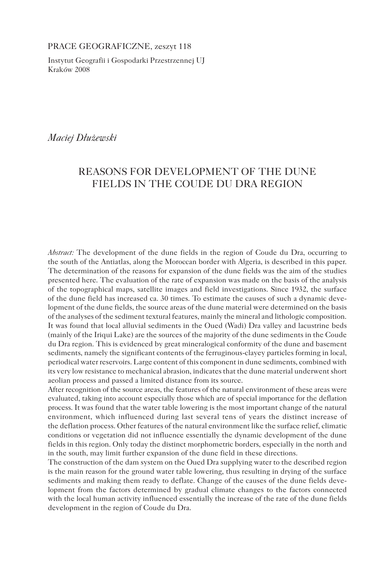PRACE GEOGRAFICZNE, zeszyt 118

Instytut Geografii i Gospodarki Przestrzennej UJ Kraków 2008

*Maciej Dłużewski*

# REASONS FOR DEVELOPMENT OF THE DUNE FIELDS IN THE COUDE DU DRA REGION

*Abstract:* The development of the dune fields in the region of Coude du Dra, occurring to the south of the Antiatlas, along the Moroccan border with Algeria, is described in this paper. The determination of the reasons for expansion of the dune fields was the aim of the studies presented here. The evaluation of the rate of expansion was made on the basis of the analysis of the topographical maps, satellite images and field investigations. Since 1932, the surface of the dune field has increased ca. 30 times. To estimate the causes of such a dynamic development of the dune fields, the source areas of the dune material were determined on the basis of the analyses of the sediment textural features, mainly the mineral and lithologic composition. It was found that local alluvial sediments in the Oued (Wadi) Dra valley and lacustrine beds (mainly of the Iriqui Lake) are the sources of the majority of the dune sediments in the Coude du Dra region. This is evidenced by great mineralogical conformity of the dune and basement sediments, namely the significant contents of the ferruginous-clayey particles forming in local, periodical water reservoirs. Large content of this component in dune sediments, combined with its very low resistance to mechanical abrasion, indicates that the dune material underwent short aeolian process and passed a limited distance from its source.

After recognition of the source areas, the features of the natural environment of these areas were evaluated, taking into account especially those which are of special importance for the deflation process. It was found that the water table lowering is the most important change of the natural environment, which influenced during last several tens of years the distinct increase of the deflation process. Other features of the natural environment like the surface relief, climatic conditions or vegetation did not influence essentially the dynamic development of the dune fields in this region. Only today the distinct morphometric borders, especially in the north and in the south, may limit further expansion of the dune field in these directions.

The construction of the dam system on the Oued Dra supplying water to the described region is the main reason for the ground water table lowering, thus resulting in drying of the surface sediments and making them ready to deflate. Change of the causes of the dune fields development from the factors determined by gradual climate changes to the factors connected with the local human activity influenced essentially the increase of the rate of the dune fields development in the region of Coude du Dra.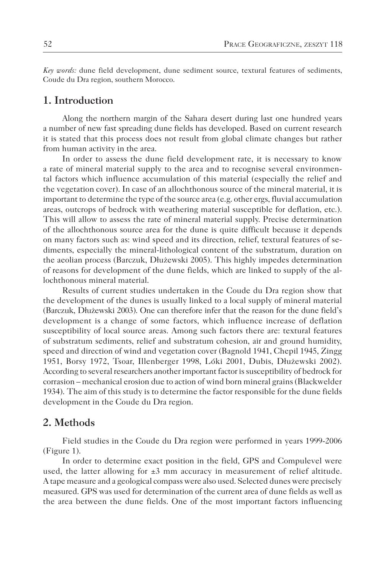*Key words:* dune field development, dune sediment source, textural features of sediments, Coude du Dra region, southern Morocco.

## **1. Introduction**

Along the northern margin of the Sahara desert during last one hundred years a number of new fast spreading dune fields has developed. Based on current research it is stated that this process does not result from global climate changes but rather from human activity in the area.

In order to assess the dune field development rate, it is necessary to know a rate of mineral material supply to the area and to recognise several environmental factors which influence accumulation of this material (especially the relief and the vegetation cover). In case of an allochthonous source of the mineral material, it is important to determine the type of the source area (e.g. other ergs, fluvial accumulation areas, outcrops of bedrock with weathering material susceptible for deflation, etc.). This will allow to assess the rate of mineral material supply. Precise determination of the allochthonous source area for the dune is quite difficult because it depends on many factors such as: wind speed and its direction, relief, textural features of sediments, especially the mineral-lithological content of the substratum, duration on the aeolian process (Barczuk, Dłużewski 2005). This highly impedes determination of reasons for development of the dune fields, which are linked to supply of the allochthonous mineral material.

Results of current studies undertaken in the Coude du Dra region show that the development of the dunes is usually linked to a local supply of mineral material (Barczuk, Dłużewski 2003). One can therefore infer that the reason for the dune field's development is a change of some factors, which influence increase of deflation susceptibility of local source areas. Among such factors there are: textural features of substratum sediments, relief and substratum cohesion, air and ground humidity, speed and direction of wind and vegetation cover (Bagnold 1941, Chepil 1945, Zingg 1951, Borsy 1972, Tsoar, Illenberger 1998, Lóki 2001, Dubis, Dłużewski 2002). According to several researchers another important factor is susceptibility of bedrock for corrasion – mechanical erosion due to action of wind born mineral grains (Blackwelder 1934). The aim of this study is to determine the factor responsible for the dune fields development in the Coude du Dra region.

## **2. Methods**

Field studies in the Coude du Dra region were performed in years 1999-2006 (Figure 1).

In order to determine exact position in the field, GPS and Compulevel were used, the latter allowing for  $\pm 3$  mm accuracy in measurement of relief altitude. A tape measure and a geological compass were also used. Selected dunes were precisely measured. GPS was used for determination of the current area of dune fields as well as the area between the dune fields. One of the most important factors influencing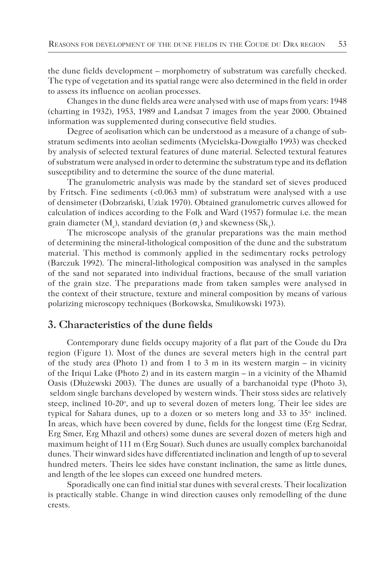the dune fields development – morphometry of substratum was carefully checked. The type of vegetation and its spatial range were also determined in the field in order to assess its influence on aeolian processes.

Changes in the dune fields area were analysed with use of maps from years: 1948 (charting in 1932), 1953, 1989 and Landsat 7 images from the year 2000. Obtained information was supplemented during consecutive field studies.

Degree of aeolisation which can be understood as a measure of a change of substratum sediments into aeolian sediments (Mycielska-Dowgiałło 1993) was checked by analysis of selected textural features of dune material. Selected textural features of substratum were analysed in order to determine the substratum type and its deflation susceptibility and to determine the source of the dune material.

The granulometric analysis was made by the standard set of sieves produced by Fritsch. Fine sediments (<0.063 mm) of substratum were analysed with a use of densimeter (Dobrzański, Uziak 1970). Obtained granulometric curves allowed for calculation of indices according to the Folk and Ward (1957) formulae i.e. the mean grain diameter (M<sub>z</sub>), standard deviation ( $\sigma$ <sub>1</sub>) and skewness (Sk<sub>1</sub>).

The microscope analysis of the granular preparations was the main method of determining the mineral-lithological composition of the dune and the substratum material. This method is commonly applied in the sedimentary rocks petrology (Barczuk 1992). The mineral-lithological composition was analysed in the samples of the sand not separated into individual fractions, because of the small variation of the grain size. The preparations made from taken samples were analysed in the context of their structure, texture and mineral composition by means of various polarizing microscopy techniques (Borkowska, Smulikowski 1973).

### **3. Characteristics of the dune fields**

Contemporary dune fields occupy majority of a flat part of the Coude du Dra region (Figure 1). Most of the dunes are several meters high in the central part of the study area (Photo 1) and from 1 to 3 m in its western margin – in vicinity of the Iriqui Lake (Photo 2) and in its eastern margin – in a vicinity of the Mhamid Oasis (Dłużewski 2003). The dunes are usually of a barchanoidal type (Photo 3), seldom single barchans developed by western winds. Their stoss sides are relatively steep, inclined 10-20°, and up to several dozen of meters long. Their lee sides are typical for Sahara dunes, up to a dozen or so meters long and  $33$  to  $35^\circ$  inclined. In areas, which have been covered by dune, fields for the longest time (Erg Sedrar, Erg Smer, Erg Mhazil and others) some dunes are several dozen of meters high and maximum height of 111 m (Erg Souar). Such dunes are usually complex barchanoidal dunes. Their winward sides have differentiated inclination and length of up to several hundred meters. Theirs lee sides have constant inclination, the same as little dunes, and length of the lee slopes can exceed one hundred meters.

Sporadically one can find initial star dunes with several crests. Their localization is practically stable. Change in wind direction causes only remodelling of the dune crests.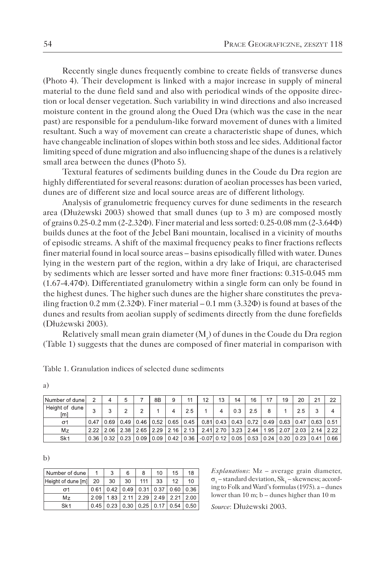Recently single dunes frequently combine to create fields of transverse dunes (Photo 4). Their development is linked with a major increase in supply of mineral material to the dune field sand and also with periodical winds of the opposite direction or local denser vegetation. Such variability in wind directions and also increased moisture content in the ground along the Oued Dra (which was the case in the near past) are responsible for a pendulum-like forward movement of dunes with a limited resultant. Such a way of movement can create a characteristic shape of dunes, which have changeable inclination of slopes within both stoss and lee sides. Additional factor limiting speed of dune migration and also influencing shape of the dunes is a relatively small area between the dunes (Photo 5).

Textural features of sediments building dunes in the Coude du Dra region are highly differentiated for several reasons: duration of aeolian processes has been varied, dunes are of different size and local source areas are of different lithology.

Analysis of granulometric frequency curves for dune sediments in the research area (Dłużewski 2003) showed that small dunes (up to 3 m) are composed mostly of grains 0.25-0.2 mm (2-2.32Φ). Finer material and less sorted: 0.25-0.08 mm (2-3.64Φ) builds dunes at the foot of the Jebel Bani mountain, localised in a vicinity of mouths of episodic streams. A shift of the maximal frequency peaks to finer fractions reflects finer material found in local source areas – basins episodically filled with water. Dunes lying in the western part of the region, within a dry lake of Iriqui, are characterised by sediments which are lesser sorted and have more finer fractions: 0.315-0.045 mm (1.67-4.47Φ). Differentiated granulometry within a single form can only be found in the highest dunes. The higher such dunes are the higher share constitutes the prevailing fraction 0.2 mm (2.32Φ). Finer material – 0.1 mm (3.32Φ) is found at bases of the dunes and results from aeolian supply of sediments directly from the dune forefields (Dłużewski 2003).

Relatively small mean grain diameter ( $M_{_2}$ ) of dunes in the Coude du Dra region (Table 1) suggests that the dunes are composed of finer material in comparison with

| Number of dune        |      | 4    | 5    |      | 8B   | 9    | 11   | 12           | 13        | 14   | 16   | 17   | 19   | 20   | 21   | 22   |
|-----------------------|------|------|------|------|------|------|------|--------------|-----------|------|------|------|------|------|------|------|
| Height of dune<br>ſml |      | ◠    | 2    | っ    |      | 4    | 2.5  |              | 4         | 03   | 2.5  | 8    |      | 2.5  | ર    |      |
| $\sigma$ 1            | 0.47 | 0.69 | 0.49 | 0.46 | 0.52 | 0.65 | 0.45 |              | 0.81 0.43 | 0.43 | 0.72 | 0.49 | 0.63 | 0.47 | 0.63 | 0.51 |
| Mz                    | 2.22 | 2.06 | 2.38 | 2.65 | 2.29 | 2.16 | 2.13 |              | 2.41 2.70 | 3.23 | 2.44 | 1.95 | 2.07 | 2.03 | 2.14 | 2.22 |
| Sk1                   | 0.36 | 0.32 | 0.23 | 0.09 | 0.09 | 0.42 | 0.36 | $-0.07$ 0.12 |           | 0.05 | 0.53 | 0.24 | 0.20 | 0.23 | 0.41 | 0.66 |

Table 1. Granulation indices of selected dune sediments

b)

a)

| Number of dune     |      |      | 6    | 8           | 10        | 15   | 18   |
|--------------------|------|------|------|-------------|-----------|------|------|
| Height of dune [m] | 20   | 30   | 30   |             | 33        | 12   | 10   |
| σ1                 | 0.61 | 0.42 | 0.49 | 0.31        | 0.37      | 0.60 | 0.36 |
| Mz                 | 2.09 | 1.83 | 2.11 |             | 2.29 2.49 | 2.21 | 2.00 |
| Sk <sub>1</sub>    | 0.45 | 0.23 | 0.30 | $0.25$ 0.17 |           | 0.54 | 0.50 |

*Explanations*: Mz – average grain diameter,  $\sigma_1$  – standard deviation, Sk<sub>1</sub> – skewness; according to Folk and Ward's formulas (1975). a – dunes lower than 10 m; b – dunes higher than 10 m

*Source*: Dłużewski 2003.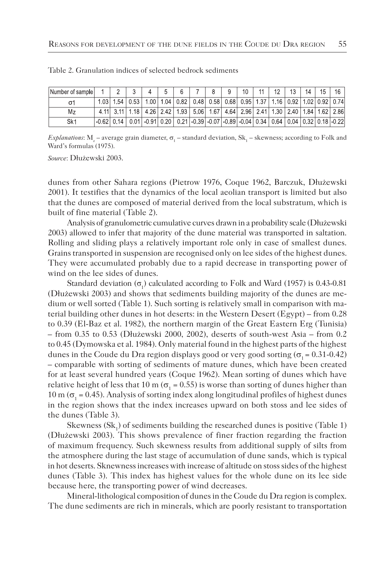| Number of sample |                   |     |       |                    |                |                                                                  |      |                                         | 10 | $\Lambda$                        |  | 16 |
|------------------|-------------------|-----|-------|--------------------|----------------|------------------------------------------------------------------|------|-----------------------------------------|----|----------------------------------|--|----|
|                  | 1.03 <sub>1</sub> | .54 | 0.53  | 1.00               | 1.04   0.82    | 0.481                                                            |      | 0.58   0.68   0.95   1.37               |    | 1.16   0.92   1.02   0.92   0.74 |  |    |
| Mz               |                   |     | .18 I |                    | 4 26 2 42 1 93 | 5.06                                                             | 1.67 | 4 64 2 96 2 41 1 30 2 40 1 84 1 62 2 86 |    |                                  |  |    |
| Sk1              | $-062$ 0.14       |     |       | 0.01   0.91   0.20 |                | 0.21 - 0.39 - 0.07 - 0.89 - 0.04 0.34 0.64 0.04 0.32 0.18 - 0.22 |      |                                         |    |                                  |  |    |

|  | Table 2. Granulation indices of selected bedrock sediments |
|--|------------------------------------------------------------|
|--|------------------------------------------------------------|

*Explanations*: M<sub>2</sub> – average grain diameter,  $\sigma_1$  – standard deviation, Sk<sub>1</sub> – skewness; according to Folk and Ward's formulas (1975).

*Source*: Dłużewski 2003.

dunes from other Sahara regions (Pietrow 1976, Coque 1962, Barczuk, Dłużewski 2001). It testifies that the dynamics of the local aeolian transport is limited but also that the dunes are composed of material derived from the local substratum, which is built of fine material (Table 2).

Analysis of granulometric cumulative curves drawn in a probability scale (Dłużewski 2003) allowed to infer that majority of the dune material was transported in saltation. Rolling and sliding plays a relatively important role only in case of smallest dunes. Grains transported in suspension are recognised only on lee sides of the highest dunes. They were accumulated probably due to a rapid decrease in transporting power of wind on the lee sides of dunes.

Standard deviation  $(\sigma_1)$  calculated according to Folk and Ward (1957) is 0.43-0.81 (Dłużewski 2003) and shows that sediments building majority of the dunes are medium or well sorted (Table 1). Such sorting is relatively small in comparison with material building other dunes in hot deserts: in the Western Desert (Egypt) – from 0.28 to 0.39 (El-Baz et al. 1982), the northern margin of the Great Eastern Erg (Tunisia) – from 0.35 to 0.53 (Dłużewski 2000, 2002), deserts of south-west Asia – from 0.2 to 0.45 (Dymowska et al. 1984). Only material found in the highest parts of the highest dunes in the Coude du Dra region displays good or very good sorting ( $\sigma_1 = 0.31 - 0.42$ ) – comparable with sorting of sediments of mature dunes, which have been created for at least several hundred years (Coque 1962). Mean sorting of dunes which have relative height of less that 10 m ( $\sigma_1$  = 0.55) is worse than sorting of dunes higher than 10 m ( $\sigma$ <sub>1</sub> = 0.45). Analysis of sorting index along longitudinal profiles of highest dunes in the region shows that the index increases upward on both stoss and lee sides of the dunes (Table 3).

Skewness  $(Sk_1)$  of sediments building the researched dunes is positive (Table 1) (Dłużewski 2003). This shows prevalence of finer fraction regarding the fraction of maximum frequency. Such skewness results from additional supply of silts from the atmosphere during the last stage of accumulation of dune sands, which is typical in hot deserts. Sknewness increases with increase of altitude on stoss sides of the highest dunes (Table 3). This index has highest values for the whole dune on its lee side because here, the transporting power of wind decreases.

Mineral-lithological composition of dunes in the Coude du Dra region is complex. The dune sediments are rich in minerals, which are poorly resistant to transportation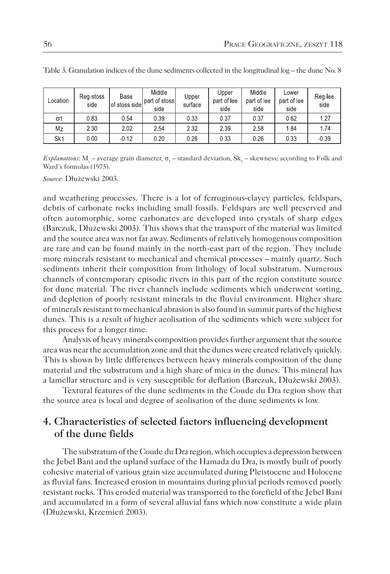| Location        | Reg-stoss<br>side | Base<br>of stoss side | Middle<br>part of stoss<br>side | Upper<br>surface | Upper<br>part of lee<br>side | Middle<br>part of lee<br>side | Lower<br>part of lee<br>side | Reg-lee<br>side |
|-----------------|-------------------|-----------------------|---------------------------------|------------------|------------------------------|-------------------------------|------------------------------|-----------------|
| σ1              | 0.83              | 0.54                  | 0.39                            | 0.33             | 0.37                         | 0.37                          | 0.62                         | 1.27            |
| Mz              | 2.30              | 2.02                  | 2.54                            | 2.32             | 2.39                         | 2.58                          | 1.84                         | 1.74            |
| Sk <sub>1</sub> | 0.00              | $-0.12$               | 0.20                            | 0.26             | 0.33                         | 0.26                          | 0.33                         | $-0.39$         |

Table 3. Granulation indices of the dune sediments collected in the longitudinal log – the dune No. 8

*Explanations*: M<sub>2</sub> – average grain diameter,  $\sigma_1$  – standard deviation, Sk<sub>1</sub> – skewness; according to Folk and Ward's formulas (1975).

*Source*: Dłużewski 2003.

and weathering processes. There is a lot of ferruginous-clayey particles, feldspars, debris of carbonate rocks including small fossils. Feldspars are well preserved and often automorphic, some carbonates are developed into crystals of sharp edges (Barczuk, Dłużewski 2003). This shows that the transport of the material was limited and the source area was not far away. Sediments of relatively homogenous composition are rare and can be found mainly in the north-east part of the region. They include more minerals resistant to mechanical and chemical processes – mainly quartz. Such sediments inherit their composition from lithology of local substratum. Numerous channels of contemporary episodic rivers in this part of the region constitute source for dune material. The river channels include sediments which underwent sorting, and depletion of poorly resistant minerals in the fluvial environment. Higher share of minerals resistant to mechanical abrasion is also found in summit parts of the highest dunes. This is a result of higher aeolisation of the sediments which were subject for this process for a longer time.

Analysis of heavy minerals composition provides further argument that the source area was near the accumulation zone and that the dunes were created relatively quickly. This is shown by little differences between heavy minerals composition of the dune material and the substratum and a high share of mica in the dunes. This mineral has a lamellar structure and is very susceptible for deflation (Barczuk, Dłużewski 2003).

Textural features of the dune sediments in the Coude du Dra region show that the source area is local and degree of aeolisation of the dune sediments is low.

# **4. Characteristics of selected factors influencing development of the dune fields**

The substratum of the Coude du Dra region, which occupies a depression between the Jebel Bani and the upland surface of the Hamada du Dra, is mostly built of poorly cohesive material of various grain size accumulated during Pleistocene and Holocene as fluvial fans. Increased erosion in mountains during pluvial periods removed poorly resistant rocks. This eroded material was transported to the forefield of the Jebel Bani and accumulated in a form of several alluvial fans which now constitute a wide plain (Dłużewski, Krzemień 2003).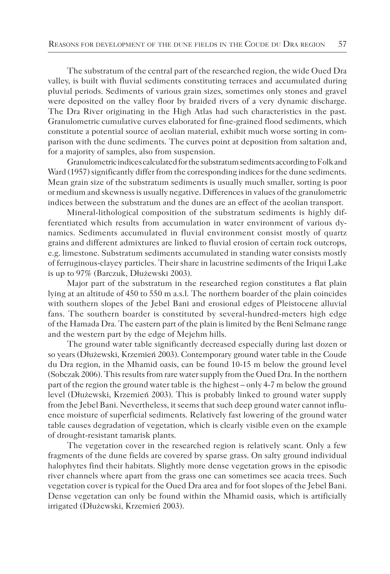The substratum of the central part of the researched region, the wide Oued Dra valley, is built with fluvial sediments constituting terraces and accumulated during pluvial periods. Sediments of various grain sizes, sometimes only stones and gravel were deposited on the valley floor by braided rivers of a very dynamic discharge. The Dra River originating in the High Atlas had such characteristics in the past. Granulometric cumulative curves elaborated for fine-grained flood sediments, which constitute a potential source of aeolian material, exhibit much worse sorting in comparison with the dune sediments. The curves point at deposition from saltation and, for a majority of samples, also from suspension.

Granulometric indices calculated for the substratum sediments according to Folk and Ward (1957) significantly differ from the corresponding indices for the dune sediments. Mean grain size of the substratum sediments is usually much smaller, sorting is poor or medium and skewness is usually negative. Differences in values of the granulometric indices between the substratum and the dunes are an effect of the aeolian transport.

Mineral-lithological composition of the substratum sediments is highly differentiated which results from accumulation in water environment of various dynamics. Sediments accumulated in fluvial environment consist mostly of quartz grains and different admixtures are linked to fluvial erosion of certain rock outcrops, e.g. limestone. Substratum sediments accumulated in standing water consists mostly of ferruginous-clayey particles. Their share in lacustrine sediments of the Iriqui Lake is up to 97% (Barczuk, Dłużewski 2003).

Major part of the substratum in the researched region constitutes a flat plain lying at an altitude of 450 to 550 m a.s.l. The northern boarder of the plain coincides with southern slopes of the Jebel Bani and erosional edges of Pleistocene alluvial fans. The southern boarder is constituted by several-hundred-meters high edge of the Hamada Dra. The eastern part of the plain is limited by the Beni Selmane range and the western part by the edge of Mejehm hills.

The ground water table significantly decreased especially during last dozen or so years (Dłużewski, Krzemień 2003). Contemporary ground water table in the Coude du Dra region, in the Mhamid oasis, can be found 10-15 m below the ground level (Sobczak 2006). This results from rare water supply from the Oued Dra. In the northern part of the region the ground water table is the highest – only 4-7 m below the ground level (Dłużewski, Krzemień 2003). This is probably linked to ground water supply from the Jebel Bani. Nevertheless, it seems that such deep ground water cannot influence moisture of superficial sediments. Relatively fast lowering of the ground water table causes degradation of vegetation, which is clearly visible even on the example of drought-resistant tamarisk plants.

The vegetation cover in the researched region is relatively scant. Only a few fragments of the dune fields are covered by sparse grass. On salty ground individual halophytes find their habitats. Slightly more dense vegetation grows in the episodic river channels where apart from the grass one can sometimes see acacia trees. Such vegetation cover is typical for the Oued Dra area and for foot slopes of the Jebel Bani. Dense vegetation can only be found within the Mhamid oasis, which is artificially irrigated (Dłużewski, Krzemień 2003).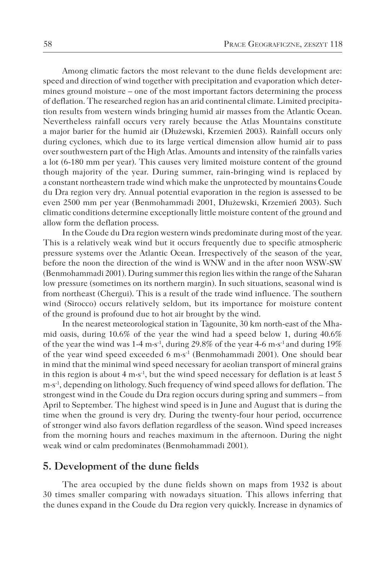Among climatic factors the most relevant to the dune fields development are: speed and direction of wind together with precipitation and evaporation which determines ground moisture – one of the most important factors determining the process of deflation. The researched region has an arid continental climate. Limited precipitation results from western winds bringing humid air masses from the Atlantic Ocean. Nevertheless rainfall occurs very rarely because the Atlas Mountains constitute a major barier for the humid air (Dłużewski, Krzemień 2003). Rainfall occurs only during cyclones, which due to its large vertical dimension allow humid air to pass over southwestern part of the High Atlas. Amounts and intensity of the rainfalls varies a lot (6-180 mm per year). This causes very limited moisture content of the ground though majority of the year. During summer, rain-bringing wind is replaced by a constant northeastern trade wind which make the unprotected by mountains Coude du Dra region very dry. Annual potential evaporation in the region is assessed to be even 2500 mm per year (Benmohammadi 2001, Dłużewski, Krzemień 2003). Such climatic conditions determine exceptionally little moisture content of the ground and allow form the deflation process.

In the Coude du Dra region western winds predominate during most of the year. This is a relatively weak wind but it occurs frequently due to specific atmospheric pressure systems over the Atlantic Ocean. Irrespectively of the season of the year, before the noon the direction of the wind is WNW and in the after noon WSW-SW (Benmohammadi 2001). During summer this region lies within the range of the Saharan low pressure (sometimes on its northern margin). In such situations, seasonal wind is from northeast (Chergui). This is a result of the trade wind influence. The southern wind (Sirocco) occurs relatively seldom, but its importance for moisture content of the ground is profound due to hot air brought by the wind.

In the nearest meteorological station in Tagounite, 30 km north-east of the Mhamid oasis, during 10.6% of the year the wind had a speed below 1, during 40.6% of the year the wind was 1-4 m·s<sup>-1</sup>, during 29.8% of the year 4-6 m·s<sup>-1</sup> and during 19% of the year wind speed exceeded 6 m·s-1 (Benmohammadi 2001). One should bear in mind that the minimal wind speed necessary for aeolian transport of mineral grains in this region is about  $4 \text{ m} \cdot \text{s}^{-1}$ , but the wind speed necessary for deflation is at least 5 m·s-1, depending on lithology. Such frequency of wind speed allows for deflation. The strongest wind in the Coude du Dra region occurs during spring and summers – from April to September. The highest wind speed is in June and August that is during the time when the ground is very dry. During the twenty-four hour period, occurrence of stronger wind also favors deflation regardless of the season. Wind speed increases from the morning hours and reaches maximum in the afternoon. During the night weak wind or calm predominates (Benmohammadi 2001).

#### **5. Development of the dune fields**

The area occupied by the dune fields shown on maps from 1932 is about 30 times smaller comparing with nowadays situation. This allows inferring that the dunes expand in the Coude du Dra region very quickly. Increase in dynamics of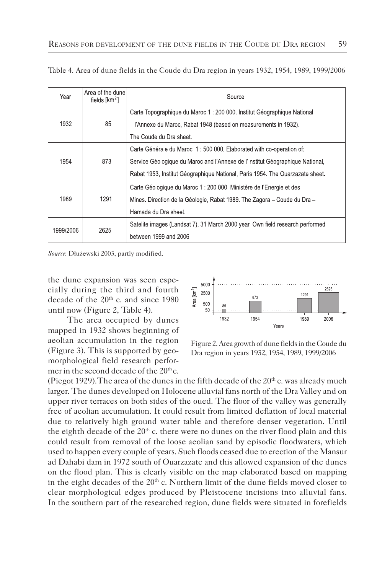| Year      | Area of the dune<br>fields $[km2]$ | Source                                                                        |
|-----------|------------------------------------|-------------------------------------------------------------------------------|
|           |                                    | Carte Topographique du Maroc 1 : 200 000. Institut Géographique National      |
| 1932      | 85                                 | - l'Annexe du Maroc, Rabat 1948 (based on measurements in 1932).              |
|           |                                    | The Coude du Dra sheet.                                                       |
|           |                                    | Carte Générale du Maroc 1 : 500 000. Elaborated with co-operation of:         |
| 1954      | 873                                | Service Géologique du Maroc and l'Annexe de l'Institut Géographique National, |
|           |                                    | Rabat 1953, Institut Géographique National, Paris 1954. The Ouarzazate sheet. |
|           |                                    | Carte Géologique du Maroc 1 : 200 000. Ministère de l'Energie et des          |
| 1989      | 1291                               | Mines. Direction de la Géologie, Rabat 1989. The Zagora – Coude du Dra –      |
|           |                                    | Hamada du Dra sheet.                                                          |
|           | 2625                               | Satelite images (Landsat 7), 31 March 2000 year. Own field research performed |
| 1999/2006 |                                    | between 1999 and 2006.                                                        |

Table 4. Area of dune fields in the Coude du Dra region in years 1932, 1954, 1989, 1999/2006

*Source*: Dłużewski 2003, partly modified.

the dune expansion was seen especially during the third and fourth decade of the  $20<sup>th</sup>$  c. and since 1980 until now (Figure 2, Table 4).

The area occupied by dunes mapped in 1932 shows beginning of aeolian accumulation in the region (Figure 3). This is supported by geomorphological field research performer in the second decade of the  $20<sup>th</sup>$ c.



Figure 2. Area growth of dune fields in the Coude du Dra region in years 1932, 1954, 1989, 1999/2006

(Piegot 1929). The area of the dunes in the fifth decade of the  $20<sup>th</sup>$  c. was already much larger. The dunes developed on Holocene alluvial fans north of the Dra Valley and on upper river terraces on both sides of the oued. The floor of the valley was generally free of aeolian accumulation. It could result from limited deflation of local material due to relatively high ground water table and therefore denser vegetation. Until the eighth decade of the  $20<sup>th</sup>$  c. there were no dunes on the river flood plain and this could result from removal of the loose aeolian sand by episodic floodwaters, which used to happen every couple of years. Such floods ceased due to erection of the Mansur ad Dahabi dam in 1972 south of Ouarzazate and this allowed expansion of the dunes on the flood plan. This is clearly visible on the map elaborated based on mapping in the eight decades of the  $20<sup>th</sup>$  c. Northern limit of the dune fields moved closer to clear morphological edges produced by Pleistocene incisions into alluvial fans. In the southern part of the researched region, dune fields were situated in forefields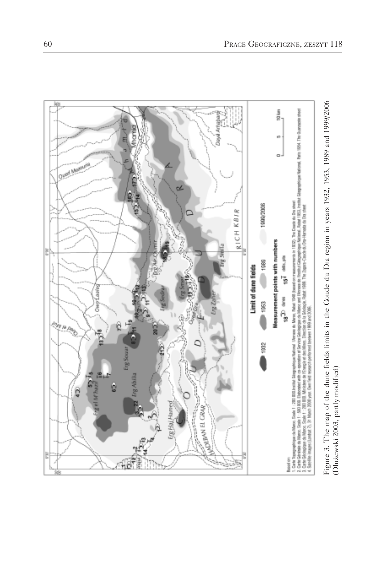

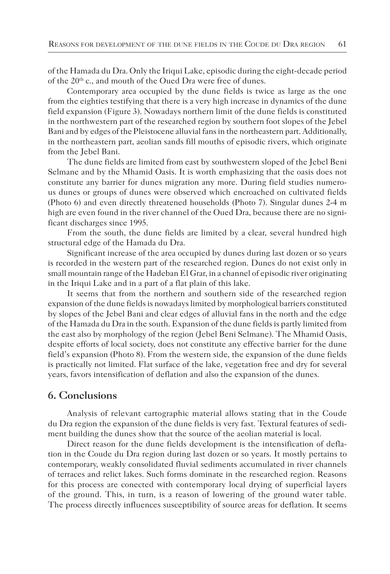of the Hamada du Dra. Only the Iriqui Lake, episodic during the eight-decade period of the 20<sup>th</sup> c., and mouth of the Oued Dra were free of dunes.

Contemporary area occupied by the dune fields is twice as large as the one from the eighties testifying that there is a very high increase in dynamics of the dune field expansion (Figure 3). Nowadays northern limit of the dune fields is constituted in the northwestern part of the researched region by southern foot slopes of the Jebel Bani and by edges of the Pleistocene alluvial fans in the northeastern part. Additionally, in the northeastern part, aeolian sands fill mouths of episodic rivers, which originate from the Jebel Bani.

The dune fields are limited from east by southwestern sloped of the Jebel Beni Selmane and by the Mhamid Oasis. It is worth emphasizing that the oasis does not constitute any barrier for dunes migration any more. During field studies numerous dunes or groups of dunes were observed which encroached on cultivated fields (Photo 6) and even directly threatened households (Photo 7). Singular dunes 2-4 m high are even found in the river channel of the Oued Dra, because there are no significant discharges since 1995.

From the south, the dune fields are limited by a clear, several hundred high structural edge of the Hamada du Dra.

Significant increase of the area occupied by dunes during last dozen or so years is recorded in the western part of the researched region. Dunes do not exist only in small mountain range of the Hadeban El Grar, in a channel of episodic river originating in the Iriqui Lake and in a part of a flat plain of this lake.

It seems that from the northern and southern side of the researched region expansion of the dune fields is nowadays limited by morphological barriers constituted by slopes of the Jebel Bani and clear edges of alluvial fans in the north and the edge of the Hamada du Dra in the south. Expansion of the dune fields is partly limited from the east also by morphology of the region (Jebel Beni Selmane). The Mhamid Oasis, despite efforts of local society, does not constitute any effective barrier for the dune field's expansion (Photo 8). From the western side, the expansion of the dune fields is practically not limited. Flat surface of the lake, vegetation free and dry for several years, favors intensification of deflation and also the expansion of the dunes.

### **6. Conclusions**

Analysis of relevant cartographic material allows stating that in the Coude du Dra region the expansion of the dune fields is very fast. Textural features of sediment building the dunes show that the source of the aeolian material is local.

Direct reason for the dune fields development is the intensification of deflation in the Coude du Dra region during last dozen or so years. It mostly pertains to contemporary, weakly consolidated fluvial sediments accumulated in river channels of terraces and relict lakes. Such forms dominate in the researched region. Reasons for this process are conected with contemporary local drying of superficial layers of the ground. This, in turn, is a reason of lowering of the ground water table. The process directly influences susceptibility of source areas for deflation. It seems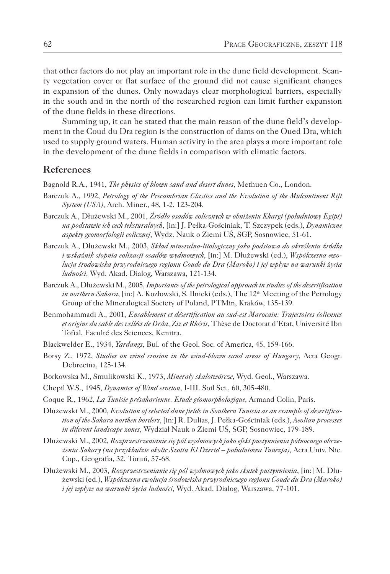that other factors do not play an important role in the dune field development. Scanty vegetation cover or flat surface of the ground did not cause significant changes in expansion of the dunes. Only nowadays clear morphological barriers, especially in the south and in the north of the researched region can limit further expansion of the dune fields in these directions.

Summing up, it can be stated that the main reason of the dune field's development in the Coud du Dra region is the construction of dams on the Oued Dra, which used to supply ground waters. Human activity in the area plays a more important role in the development of the dune fields in comparison with climatic factors.

#### **References**

Bagnold R.A., 1941, *The physics of blown sand and desert dunes*, Methuen Co., London.

- Barczuk A., 1992, *Petrology of the Precambrian Clastics and the Evolution of the Midcontinent Rift System (USA)*, Arch. Miner., 48, 1-2, 123-204.
- Barczuk A., Dłużewski M., 2001, *Źródło osadów eolicznych w obniżeniu Khargi (południowy Egipt) na podstawie ich cech teksturalnych*, [in:] J. Pełka-Gościniak, T. Szczypek (eds.), *Dynamiczne aspekty geomorfologii eolicznej*, Wydz. Nauk o Ziemi UŚ, SGP, Sosnowiec, 51-61.
- Barczuk A., Dłużewski M., 2003, *Skład mineralno-litologiczny jako podstawa do określenia źródła i wskaźnik stopnia eolizacji osadów wydmowych*, [in:] M. Dłużewski (ed.), *Współczesna ewolucja środowiska przyrodniczego regionu Coude du Dra (Maroko) i jej wpływ na warunki życia ludności,* Wyd. Akad. Dialog, Warszawa, 121-134.
- Barczuk A., Dłużewski M., 2005, *Importance of the petrological approach in studies of the desertification in northern Sahara*, [in:] A. Kozłowski, S. Ilnicki (eds.), The 12<sup>th</sup> Meeting of the Petrology Group of the Mineralogical Society of Poland, PTMin, Kraków, 135-139.
- Benmohammadi A., 2001, *Ensablement et désertification au sud-est Marocain: Trajectoires éoliennes et origine du sable des vellées de Drâa, Ziz et Rhéris,* Thèse de Doctorat d'Etat, Université Ibn Tofial, Faculté des Sciences, Kenitra.
- Blackwelder E., 1934, *Yardangs*, Bul. of the Geol. Soc. of America, 45, 159-166.
- Borsy Z., 1972, *Studies on wind erosion in the wind-blown sand areas of Hungary*, Acta Geogr. Debrecina, 125-134.
- Borkowska M., Smulikowski K., 1973, *Minerały skałotwórcze*, Wyd. Geol., Warszawa.
- Chepil W.S., 1945, *Dynamics of Wind erosion*, I-III. Soil Sci., 60, 305-480.
- Coque R., 1962, *La Tunisie présaharienne. Etude géomorphologique,* Armand Colin, Paris.
- Dłużewski M., 2000, *Evolution of selected dune fields in Southern Tunisia as an example of desertification of the Sahara northen borders*, [in:] R. Dulias, J. Pełka-Gościniak (eds.), *Aeolian processes in diferent landscape zones*, Wydział Nauk o Ziemi UŚ, SGP, Sosnowiec, 179-189.
- Dłużewski M., 2002, *Rozprzestrzenianie się pól wydmowych jako efekt pustynnienia północnego obrzeżenia Sahary (na przykładzie okolic Szottu El Dżerid – południowa Tunezja),* Acta Univ. Nic. Cop., Geografia, 32, Toruń, 57-68.
- Dłużewski M., 2003, *Rozprzestrzenianie się pól wydmowych jako skutek pustynnienia*, [in:] M. Dłużewski (ed.), *Współczesna ewolucja środowiska przyrodniczego regionu Coude du Dra (Maroko) i jej wpływ na warunki życia ludności,* Wyd. Akad. Dialog, Warszawa, 77-101.